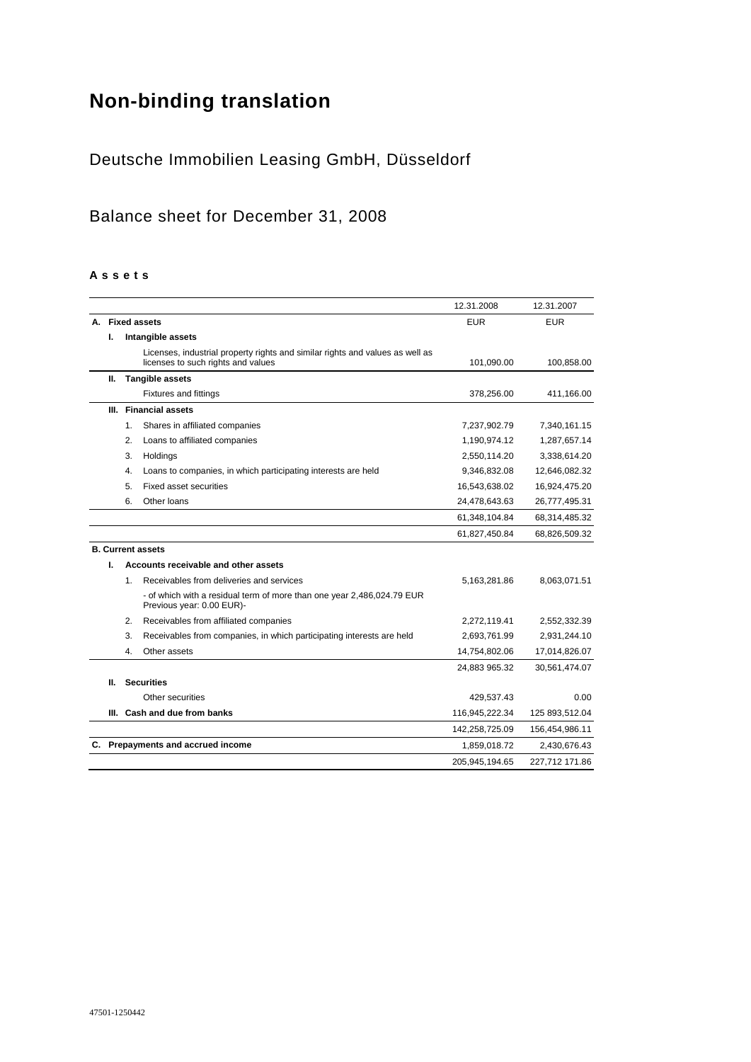# **Non-binding translation**

# Deutsche Immobilien Leasing GmbH, Düsseldorf

# Balance sheet for December 31, 2008

#### **A s s e t s**

|    |    |                                                                                                                     | 12.31.2008     | 12.31.2007     |
|----|----|---------------------------------------------------------------------------------------------------------------------|----------------|----------------|
|    |    | A. Fixed assets                                                                                                     | <b>EUR</b>     | <b>EUR</b>     |
|    | ı. | Intangible assets                                                                                                   |                |                |
|    |    | Licenses, industrial property rights and similar rights and values as well as<br>licenses to such rights and values | 101,090.00     | 100,858.00     |
|    | н. | <b>Tangible assets</b>                                                                                              |                |                |
|    |    | <b>Fixtures and fittings</b>                                                                                        | 378,256.00     | 411,166.00     |
|    | Ш. | <b>Financial assets</b>                                                                                             |                |                |
|    |    | Shares in affiliated companies<br>1.                                                                                | 7,237,902.79   | 7,340,161.15   |
|    |    | 2.<br>Loans to affiliated companies                                                                                 | 1,190,974.12   | 1,287,657.14   |
|    |    | 3.<br>Holdings                                                                                                      | 2,550,114.20   | 3,338,614.20   |
|    |    | 4.<br>Loans to companies, in which participating interests are held                                                 | 9,346,832.08   | 12,646,082.32  |
|    |    | 5.<br><b>Fixed asset securities</b>                                                                                 | 16,543,638.02  | 16,924,475.20  |
|    |    | Other loans<br>6.                                                                                                   | 24,478,643.63  | 26,777,495.31  |
|    |    |                                                                                                                     | 61,348,104.84  | 68,314,485.32  |
|    |    |                                                                                                                     | 61,827,450.84  | 68,826,509.32  |
|    |    | <b>B. Current assets</b>                                                                                            |                |                |
|    | L  | Accounts receivable and other assets                                                                                |                |                |
|    |    | Receivables from deliveries and services<br>1.                                                                      | 5,163,281.86   | 8,063,071.51   |
|    |    | - of which with a residual term of more than one year 2,486,024.79 EUR<br>Previous year: 0.00 EUR)-                 |                |                |
|    |    | Receivables from affiliated companies<br>2.                                                                         | 2,272,119.41   | 2,552,332.39   |
|    |    | 3.<br>Receivables from companies, in which participating interests are held                                         | 2,693,761.99   | 2,931,244.10   |
|    |    | Other assets<br>4.                                                                                                  | 14,754,802.06  | 17,014,826.07  |
|    |    |                                                                                                                     | 24,883 965.32  | 30,561,474.07  |
|    | Ш. | <b>Securities</b>                                                                                                   |                |                |
|    |    | Other securities                                                                                                    | 429,537.43     | 0.00           |
|    | Ш. | Cash and due from banks                                                                                             | 116,945,222.34 | 125 893,512.04 |
|    |    |                                                                                                                     | 142,258,725.09 | 156,454,986.11 |
| C. |    | Prepayments and accrued income                                                                                      | 1,859,018.72   | 2,430,676.43   |
|    |    |                                                                                                                     | 205,945,194.65 | 227,712 171.86 |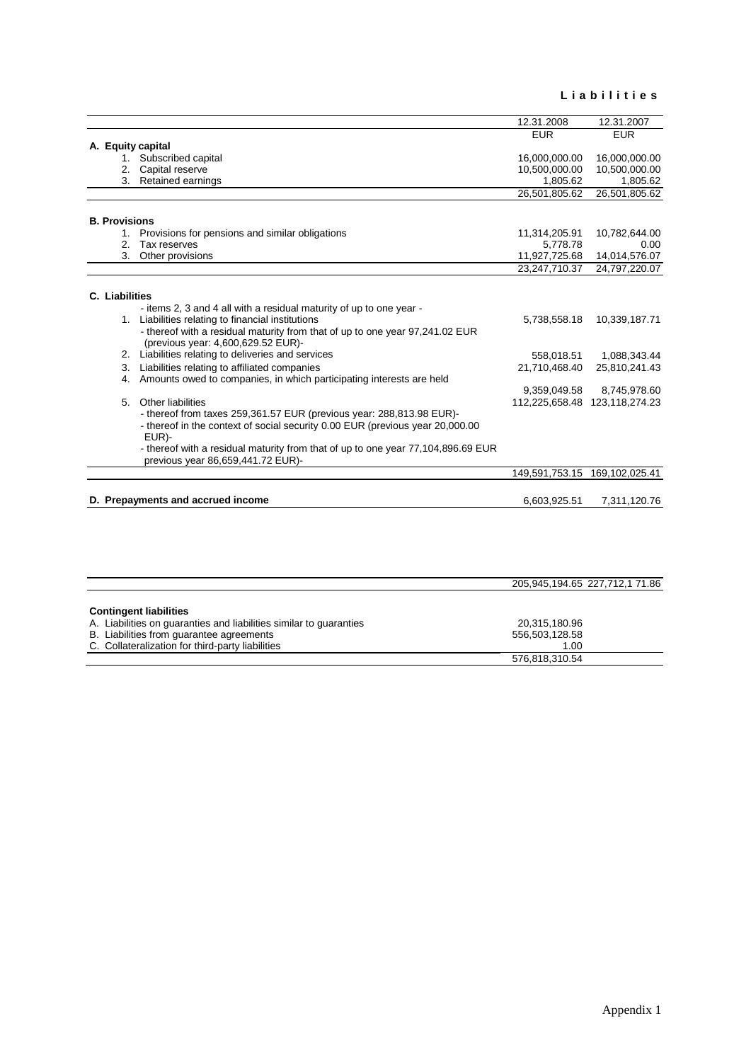#### **L i a b i l i t i e s**

| A. Equity capital<br>1. Subscribed capital<br>Capital reserve<br>3. Retained earnings<br><b>B. Provisions</b><br>Provisions for pensions and similar obligations | <b>EUR</b><br>16,000,000.00<br>10,500,000.00<br>1,805.62<br>26,501,805.62                                             | <b>EUR</b><br>16,000,000.00<br>10,500,000.00<br>1,805.62<br>26,501,805.62 |
|------------------------------------------------------------------------------------------------------------------------------------------------------------------|-----------------------------------------------------------------------------------------------------------------------|---------------------------------------------------------------------------|
|                                                                                                                                                                  |                                                                                                                       |                                                                           |
|                                                                                                                                                                  |                                                                                                                       |                                                                           |
|                                                                                                                                                                  |                                                                                                                       |                                                                           |
|                                                                                                                                                                  |                                                                                                                       |                                                                           |
|                                                                                                                                                                  |                                                                                                                       |                                                                           |
|                                                                                                                                                                  |                                                                                                                       |                                                                           |
|                                                                                                                                                                  |                                                                                                                       |                                                                           |
|                                                                                                                                                                  |                                                                                                                       |                                                                           |
|                                                                                                                                                                  | 11,314,205.91                                                                                                         | 10,782,644.00                                                             |
| Tax reserves                                                                                                                                                     | 5.778.78                                                                                                              | 0.00                                                                      |
| Other provisions                                                                                                                                                 | 11,927,725.68                                                                                                         | 14,014,576.07                                                             |
|                                                                                                                                                                  | 23,247,710.37                                                                                                         | 24,797,220.07                                                             |
|                                                                                                                                                                  |                                                                                                                       |                                                                           |
| C. Liabilities                                                                                                                                                   |                                                                                                                       |                                                                           |
| - items 2, 3 and 4 all with a residual maturity of up to one year -                                                                                              |                                                                                                                       |                                                                           |
| 1. Liabilities relating to financial institutions                                                                                                                | 5,738,558.18                                                                                                          | 10,339,187.71                                                             |
| - thereof with a residual maturity from that of up to one year 97,241.02 EUR<br>(previous year: 4,600,629.52 EUR)-                                               |                                                                                                                       |                                                                           |
| 2. Liabilities relating to deliveries and services                                                                                                               | 558.018.51                                                                                                            | 1,088,343.44                                                              |
| Liabilities relating to affiliated companies                                                                                                                     | 21,710,468.40                                                                                                         | 25,810,241.43                                                             |
| Amounts owed to companies, in which participating interests are held                                                                                             |                                                                                                                       |                                                                           |
|                                                                                                                                                                  | 9,359,049.58                                                                                                          | 8,745,978.60                                                              |
| Other liabilities                                                                                                                                                | 112,225,658.48 123,118,274.23                                                                                         |                                                                           |
| - thereof from taxes 259,361.57 EUR (previous year: 288,813.98 EUR)-                                                                                             |                                                                                                                       |                                                                           |
| - thereof in the context of social security 0.00 EUR (previous year 20,000.00)<br>EUR)-                                                                          |                                                                                                                       |                                                                           |
|                                                                                                                                                                  |                                                                                                                       |                                                                           |
| previous year 86,659,441.72 EUR)-                                                                                                                                |                                                                                                                       |                                                                           |
|                                                                                                                                                                  |                                                                                                                       |                                                                           |
|                                                                                                                                                                  |                                                                                                                       |                                                                           |
|                                                                                                                                                                  | 6,603,925.51                                                                                                          | 7,311,120.76                                                              |
|                                                                                                                                                                  | - thereof with a residual maturity from that of up to one year 77,104,896.69 EUR<br>D. Prepayments and accrued income | 149,591,753.15 169,102,025.41                                             |

|                                                                    | 205,945,194.65 227,712,1 71.86 |
|--------------------------------------------------------------------|--------------------------------|
|                                                                    |                                |
| <b>Contingent liabilities</b>                                      |                                |
| A. Liabilities on guaranties and liabilities similar to guaranties | 20,315,180.96                  |
| B. Liabilities from guarantee agreements                           | 556,503,128.58                 |
| C. Collateralization for third-party liabilities                   | 1.00                           |
|                                                                    | 576,818,310.54                 |
|                                                                    |                                |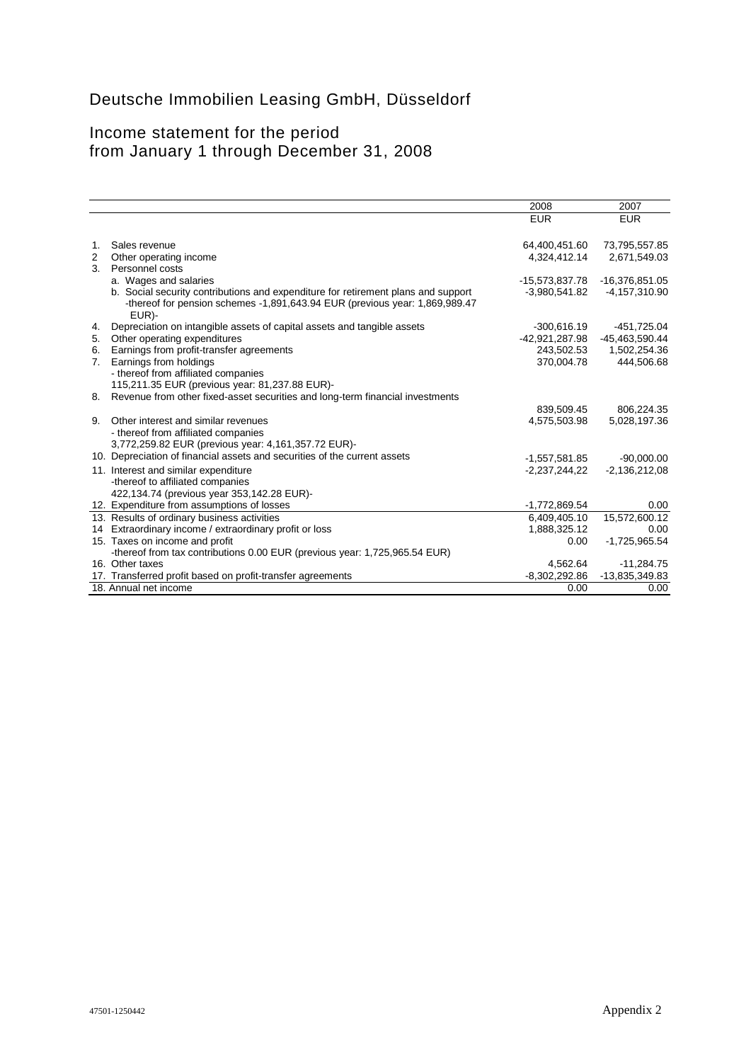# Deutsche Immobilien Leasing GmbH, Düsseldorf

# Income statement for the period from January 1 through December 31, 2008

|                |                                                                                                                                                                            | 2008            | 2007            |
|----------------|----------------------------------------------------------------------------------------------------------------------------------------------------------------------------|-----------------|-----------------|
|                |                                                                                                                                                                            | <b>EUR</b>      | <b>EUR</b>      |
|                |                                                                                                                                                                            |                 |                 |
| 1.             | Sales revenue                                                                                                                                                              | 64,400,451.60   | 73,795,557.85   |
| 2              | Other operating income                                                                                                                                                     | 4,324,412.14    | 2,671,549.03    |
| 3 <sub>1</sub> | Personnel costs                                                                                                                                                            |                 |                 |
|                | a. Wages and salaries                                                                                                                                                      | -15,573,837.78  | -16,376,851.05  |
|                | b. Social security contributions and expenditure for retirement plans and support<br>-thereof for pension schemes -1,891,643.94 EUR (previous year: 1,869,989.47)<br>EUR)- | $-3,980,541.82$ | $-4,157,310.90$ |
| 4.             | Depreciation on intangible assets of capital assets and tangible assets                                                                                                    | $-300,616.19$   | -451,725.04     |
| 5.             | Other operating expenditures                                                                                                                                               | -42,921,287.98  | -45,463,590.44  |
| 6.             | Earnings from profit-transfer agreements                                                                                                                                   | 243,502.53      | 1,502,254.36    |
| 7.             | Earnings from holdings                                                                                                                                                     | 370,004.78      | 444.506.68      |
|                | - thereof from affiliated companies                                                                                                                                        |                 |                 |
|                | 115,211.35 EUR (previous year: 81,237.88 EUR)-                                                                                                                             |                 |                 |
| 8.             | Revenue from other fixed-asset securities and long-term financial investments                                                                                              |                 |                 |
|                |                                                                                                                                                                            | 839,509.45      | 806,224.35      |
| 9.             | Other interest and similar revenues                                                                                                                                        | 4,575,503.98    | 5,028,197.36    |
|                | - thereof from affiliated companies                                                                                                                                        |                 |                 |
|                | 3,772,259.82 EUR (previous year: 4,161,357.72 EUR)-                                                                                                                        |                 |                 |
|                | 10. Depreciation of financial assets and securities of the current assets                                                                                                  | $-1,557,581.85$ | $-90,000.00$    |
|                | 11. Interest and similar expenditure                                                                                                                                       | $-2,237,244,22$ | $-2,136,212,08$ |
|                | -thereof to affiliated companies                                                                                                                                           |                 |                 |
|                | 422,134.74 (previous year 353,142.28 EUR)-                                                                                                                                 |                 |                 |
|                | 12. Expenditure from assumptions of losses                                                                                                                                 | $-1,772,869.54$ | 0.00            |
|                | 13. Results of ordinary business activities                                                                                                                                | 6,409,405.10    | 15,572,600.12   |
|                | 14 Extraordinary income / extraordinary profit or loss                                                                                                                     | 1,888,325.12    | 0.00            |
|                | 15. Taxes on income and profit                                                                                                                                             | 0.00            | $-1,725,965.54$ |
|                | -thereof from tax contributions 0.00 EUR (previous year: 1,725,965.54 EUR)                                                                                                 |                 |                 |
|                | 16. Other taxes                                                                                                                                                            | 4,562.64        | $-11,284.75$    |
|                | 17. Transferred profit based on profit-transfer agreements                                                                                                                 | $-8,302,292.86$ | -13,835,349.83  |
|                | 18. Annual net income                                                                                                                                                      | 0.00            | 0.00            |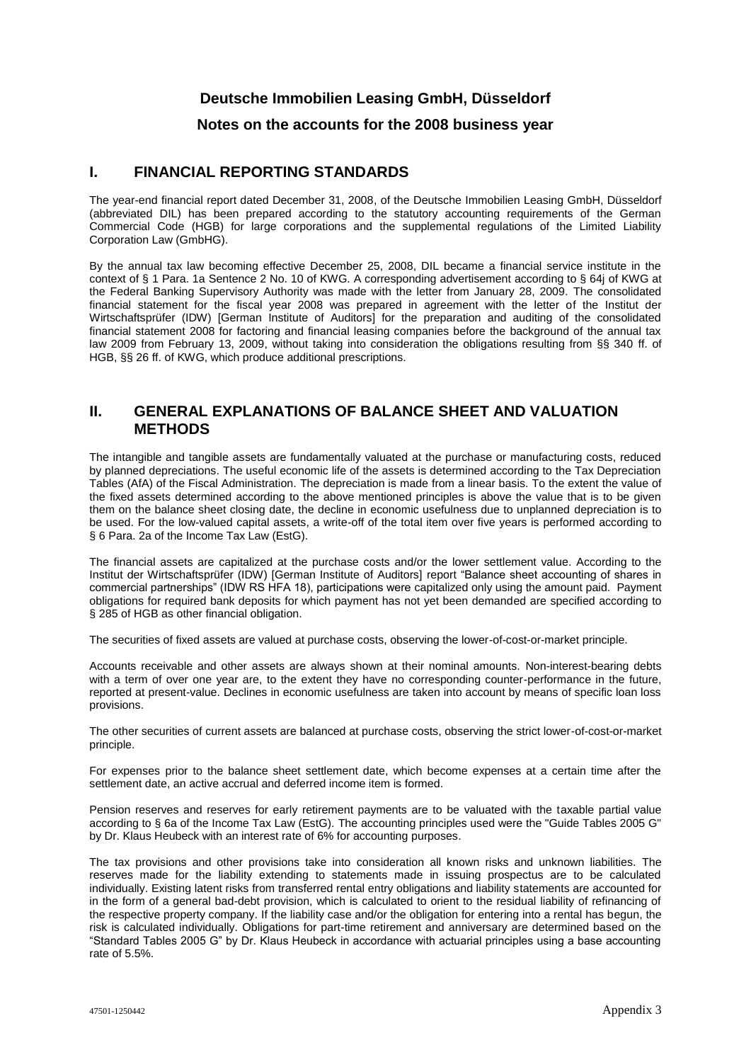# **Deutsche Immobilien Leasing GmbH, Düsseldorf**

# **Notes on the accounts for the 2008 business year**

#### **I. FINANCIAL REPORTING STANDARDS**

The year-end financial report dated December 31, 2008, of the Deutsche Immobilien Leasing GmbH, Düsseldorf (abbreviated DIL) has been prepared according to the statutory accounting requirements of the German Commercial Code (HGB) for large corporations and the supplemental regulations of the Limited Liability Corporation Law (GmbHG).

By the annual tax law becoming effective December 25, 2008, DIL became a financial service institute in the context of § 1 Para. 1a Sentence 2 No. 10 of KWG. A corresponding advertisement according to § 64j of KWG at the Federal Banking Supervisory Authority was made with the letter from January 28, 2009. The consolidated financial statement for the fiscal year 2008 was prepared in agreement with the letter of the Institut der Wirtschaftsprüfer (IDW) [German Institute of Auditors] for the preparation and auditing of the consolidated financial statement 2008 for factoring and financial leasing companies before the background of the annual tax law 2009 from February 13, 2009, without taking into consideration the obligations resulting from §§ 340 ff. of HGB, §§ 26 ff. of KWG, which produce additional prescriptions.

#### **II. GENERAL EXPLANATIONS OF BALANCE SHEET AND VALUATION METHODS**

The intangible and tangible assets are fundamentally valuated at the purchase or manufacturing costs, reduced by planned depreciations. The useful economic life of the assets is determined according to the Tax Depreciation Tables (AfA) of the Fiscal Administration. The depreciation is made from a linear basis. To the extent the value of the fixed assets determined according to the above mentioned principles is above the value that is to be given them on the balance sheet closing date, the decline in economic usefulness due to unplanned depreciation is to be used. For the low-valued capital assets, a write-off of the total item over five years is performed according to § 6 Para. 2a of the Income Tax Law (EstG).

The financial assets are capitalized at the purchase costs and/or the lower settlement value. According to the Institut der Wirtschaftsprüfer (IDW) [German Institute of Auditors] report "Balance sheet accounting of shares in commercial partnerships" (IDW RS HFA 18), participations were capitalized only using the amount paid. Payment obligations for required bank deposits for which payment has not yet been demanded are specified according to § 285 of HGB as other financial obligation.

The securities of fixed assets are valued at purchase costs, observing the lower-of-cost-or-market principle.

Accounts receivable and other assets are always shown at their nominal amounts. Non-interest-bearing debts with a term of over one year are, to the extent they have no corresponding counter-performance in the future, reported at present-value. Declines in economic usefulness are taken into account by means of specific loan loss provisions.

The other securities of current assets are balanced at purchase costs, observing the strict lower-of-cost-or-market principle.

For expenses prior to the balance sheet settlement date, which become expenses at a certain time after the settlement date, an active accrual and deferred income item is formed.

Pension reserves and reserves for early retirement payments are to be valuated with the taxable partial value according to § 6a of the Income Tax Law (EstG). The accounting principles used were the "Guide Tables 2005 G" by Dr. Klaus Heubeck with an interest rate of 6% for accounting purposes.

The tax provisions and other provisions take into consideration all known risks and unknown liabilities. The reserves made for the liability extending to statements made in issuing prospectus are to be calculated individually. Existing latent risks from transferred rental entry obligations and liability statements are accounted for in the form of a general bad-debt provision, which is calculated to orient to the residual liability of refinancing of the respective property company. If the liability case and/or the obligation for entering into a rental has begun, the risk is calculated individually. Obligations for part-time retirement and anniversary are determined based on the "Standard Tables 2005 G" by Dr. Klaus Heubeck in accordance with actuarial principles using a base accounting rate of 5.5%.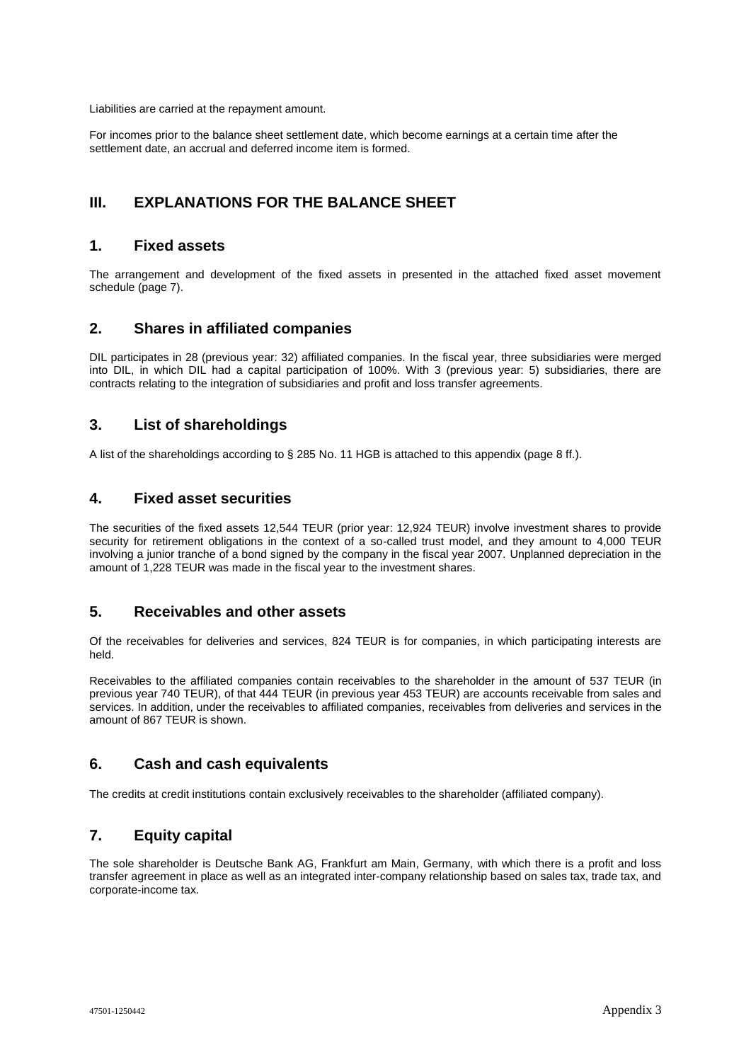Liabilities are carried at the repayment amount.

For incomes prior to the balance sheet settlement date, which become earnings at a certain time after the settlement date, an accrual and deferred income item is formed.

# **III. EXPLANATIONS FOR THE BALANCE SHEET**

#### **1. Fixed assets**

The arrangement and development of the fixed assets in presented in the attached fixed asset movement schedule (page 7).

# **2. Shares in affiliated companies**

DIL participates in 28 (previous year: 32) affiliated companies. In the fiscal year, three subsidiaries were merged into DIL, in which DIL had a capital participation of 100%. With 3 (previous year: 5) subsidiaries, there are contracts relating to the integration of subsidiaries and profit and loss transfer agreements.

# **3. List of shareholdings**

A list of the shareholdings according to § 285 No. 11 HGB is attached to this appendix (page 8 ff.).

# **4. Fixed asset securities**

The securities of the fixed assets 12,544 TEUR (prior year: 12,924 TEUR) involve investment shares to provide security for retirement obligations in the context of a so-called trust model, and they amount to 4,000 TEUR involving a junior tranche of a bond signed by the company in the fiscal year 2007. Unplanned depreciation in the amount of 1,228 TEUR was made in the fiscal year to the investment shares.

# **5. Receivables and other assets**

Of the receivables for deliveries and services, 824 TEUR is for companies, in which participating interests are held.

Receivables to the affiliated companies contain receivables to the shareholder in the amount of 537 TEUR (in previous year 740 TEUR), of that 444 TEUR (in previous year 453 TEUR) are accounts receivable from sales and services. In addition, under the receivables to affiliated companies, receivables from deliveries and services in the amount of 867 TEUR is shown.

# **6. Cash and cash equivalents**

The credits at credit institutions contain exclusively receivables to the shareholder (affiliated company).

# **7. Equity capital**

The sole shareholder is Deutsche Bank AG, Frankfurt am Main, Germany, with which there is a profit and loss transfer agreement in place as well as an integrated inter-company relationship based on sales tax, trade tax, and corporate-income tax.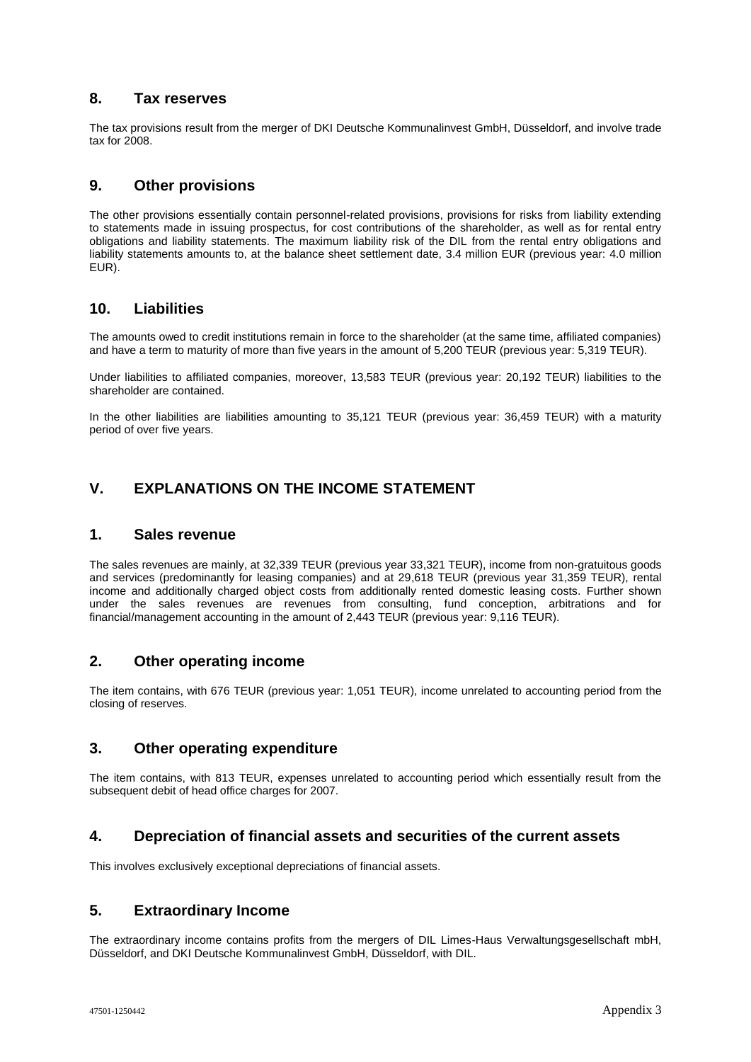# **8. Tax reserves**

The tax provisions result from the merger of DKI Deutsche Kommunalinvest GmbH, Düsseldorf, and involve trade tax for 2008.

# **9. Other provisions**

The other provisions essentially contain personnel-related provisions, provisions for risks from liability extending to statements made in issuing prospectus, for cost contributions of the shareholder, as well as for rental entry obligations and liability statements. The maximum liability risk of the DIL from the rental entry obligations and liability statements amounts to, at the balance sheet settlement date, 3.4 million EUR (previous year: 4.0 million EUR).

# **10. Liabilities**

The amounts owed to credit institutions remain in force to the shareholder (at the same time, affiliated companies) and have a term to maturity of more than five years in the amount of 5,200 TEUR (previous year: 5,319 TEUR).

Under liabilities to affiliated companies, moreover, 13,583 TEUR (previous year: 20,192 TEUR) liabilities to the shareholder are contained.

In the other liabilities are liabilities amounting to 35,121 TEUR (previous year: 36,459 TEUR) with a maturity period of over five years.

# **V. EXPLANATIONS ON THE INCOME STATEMENT**

### **1. Sales revenue**

The sales revenues are mainly, at 32,339 TEUR (previous year 33,321 TEUR), income from non-gratuitous goods and services (predominantly for leasing companies) and at 29,618 TEUR (previous year 31,359 TEUR), rental income and additionally charged object costs from additionally rented domestic leasing costs. Further shown under the sales revenues are revenues from consulting, fund conception, arbitrations and for financial/management accounting in the amount of 2,443 TEUR (previous year: 9,116 TEUR).

# **2. Other operating income**

The item contains, with 676 TEUR (previous year: 1,051 TEUR), income unrelated to accounting period from the closing of reserves.

# **3. Other operating expenditure**

The item contains, with 813 TEUR, expenses unrelated to accounting period which essentially result from the subsequent debit of head office charges for 2007.

# **4. Depreciation of financial assets and securities of the current assets**

This involves exclusively exceptional depreciations of financial assets.

# **5. Extraordinary Income**

The extraordinary income contains profits from the mergers of DIL Limes-Haus Verwaltungsgesellschaft mbH, Düsseldorf, and DKI Deutsche Kommunalinvest GmbH, Düsseldorf, with DIL.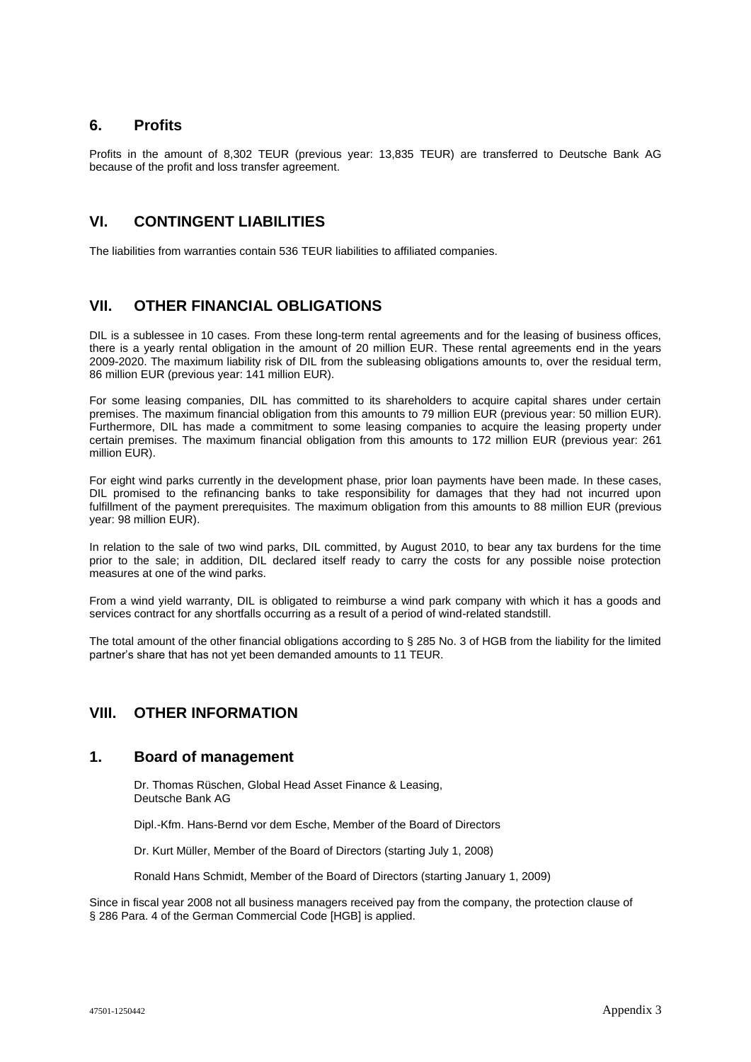#### **6. Profits**

Profits in the amount of 8,302 TEUR (previous year: 13,835 TEUR) are transferred to Deutsche Bank AG because of the profit and loss transfer agreement.

# **VI. CONTINGENT LIABILITIES**

The liabilities from warranties contain 536 TEUR liabilities to affiliated companies.

# **VII. OTHER FINANCIAL OBLIGATIONS**

DIL is a sublessee in 10 cases. From these long-term rental agreements and for the leasing of business offices, there is a yearly rental obligation in the amount of 20 million EUR. These rental agreements end in the years 2009-2020. The maximum liability risk of DIL from the subleasing obligations amounts to, over the residual term, 86 million EUR (previous year: 141 million EUR).

For some leasing companies, DIL has committed to its shareholders to acquire capital shares under certain premises. The maximum financial obligation from this amounts to 79 million EUR (previous year: 50 million EUR). Furthermore, DIL has made a commitment to some leasing companies to acquire the leasing property under certain premises. The maximum financial obligation from this amounts to 172 million EUR (previous year: 261 million EUR).

For eight wind parks currently in the development phase, prior loan payments have been made. In these cases, DIL promised to the refinancing banks to take responsibility for damages that they had not incurred upon fulfillment of the payment prerequisites. The maximum obligation from this amounts to 88 million EUR (previous year: 98 million EUR).

In relation to the sale of two wind parks, DIL committed, by August 2010, to bear any tax burdens for the time prior to the sale; in addition, DIL declared itself ready to carry the costs for any possible noise protection measures at one of the wind parks.

From a wind yield warranty, DIL is obligated to reimburse a wind park company with which it has a goods and services contract for any shortfalls occurring as a result of a period of wind-related standstill.

The total amount of the other financial obligations according to § 285 No. 3 of HGB from the liability for the limited partner's share that has not yet been demanded amounts to 11 TEUR.

# **VIII. OTHER INFORMATION**

#### **1. Board of management**

Dr. Thomas Rüschen, Global Head Asset Finance & Leasing, Deutsche Bank AG

Dipl.-Kfm. Hans-Bernd vor dem Esche, Member of the Board of Directors

Dr. Kurt Müller, Member of the Board of Directors (starting July 1, 2008)

Ronald Hans Schmidt, Member of the Board of Directors (starting January 1, 2009)

Since in fiscal year 2008 not all business managers received pay from the company, the protection clause of § 286 Para. 4 of the German Commercial Code [HGB] is applied.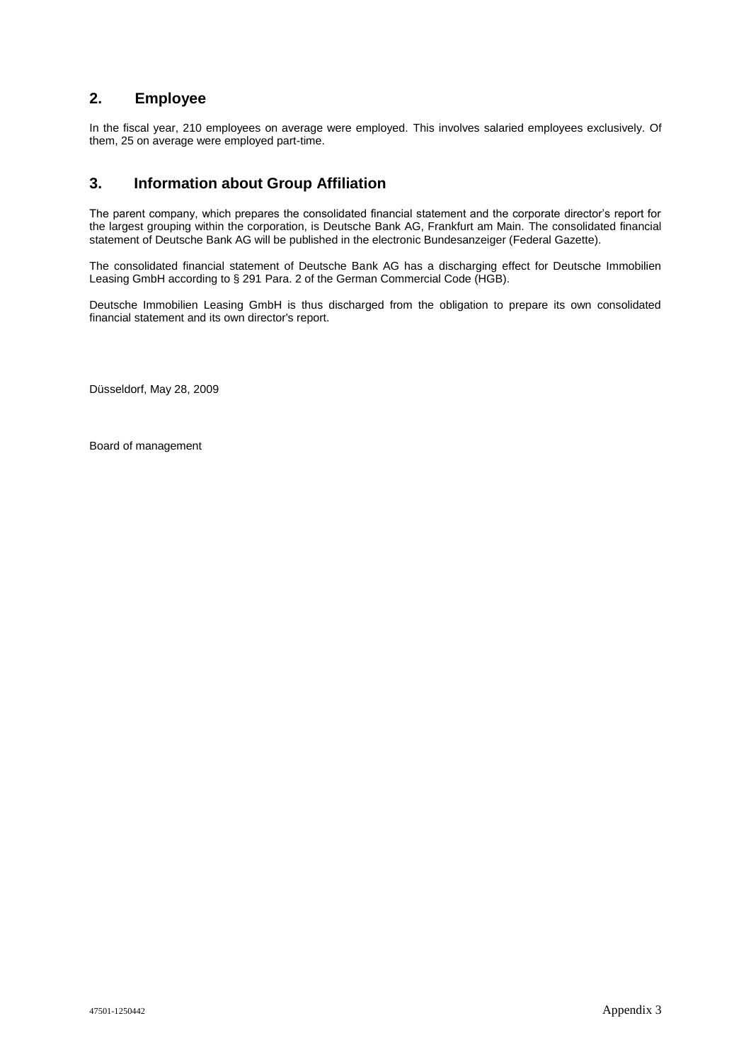# **2. Employee**

In the fiscal year, 210 employees on average were employed. This involves salaried employees exclusively. Of them, 25 on average were employed part-time.

# **3. Information about Group Affiliation**

The parent company, which prepares the consolidated financial statement and the corporate director's report for the largest grouping within the corporation, is Deutsche Bank AG, Frankfurt am Main. The consolidated financial statement of Deutsche Bank AG will be published in the electronic Bundesanzeiger (Federal Gazette).

The consolidated financial statement of Deutsche Bank AG has a discharging effect for Deutsche Immobilien Leasing GmbH according to § 291 Para. 2 of the German Commercial Code (HGB).

Deutsche Immobilien Leasing GmbH is thus discharged from the obligation to prepare its own consolidated financial statement and its own director's report.

Düsseldorf, May 28, 2009

Board of management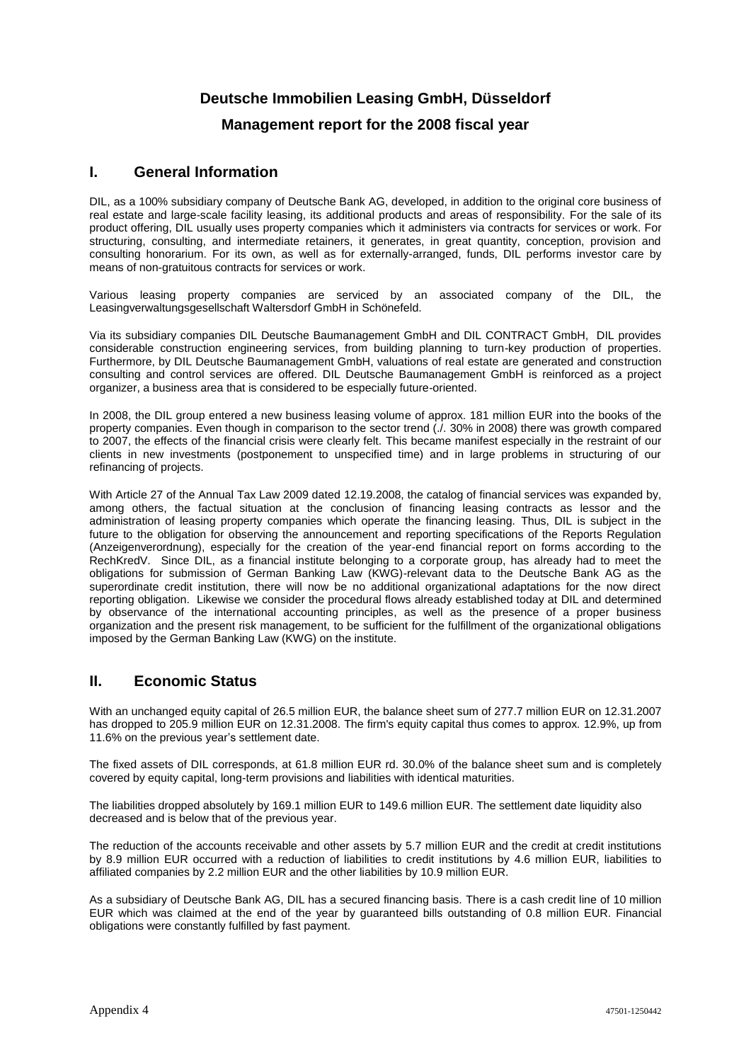# **Deutsche Immobilien Leasing GmbH, Düsseldorf Management report for the 2008 fiscal year**

# **I. General Information**

DIL, as a 100% subsidiary company of Deutsche Bank AG, developed, in addition to the original core business of real estate and large-scale facility leasing, its additional products and areas of responsibility. For the sale of its product offering, DIL usually uses property companies which it administers via contracts for services or work. For structuring, consulting, and intermediate retainers, it generates, in great quantity, conception, provision and consulting honorarium. For its own, as well as for externally-arranged, funds, DIL performs investor care by means of non-gratuitous contracts for services or work.

Various leasing property companies are serviced by an associated company of the DIL, the Leasingverwaltungsgesellschaft Waltersdorf GmbH in Schönefeld.

Via its subsidiary companies DIL Deutsche Baumanagement GmbH and DIL CONTRACT GmbH, DIL provides considerable construction engineering services, from building planning to turn-key production of properties. Furthermore, by DIL Deutsche Baumanagement GmbH, valuations of real estate are generated and construction consulting and control services are offered. DIL Deutsche Baumanagement GmbH is reinforced as a project organizer, a business area that is considered to be especially future-oriented.

In 2008, the DIL group entered a new business leasing volume of approx. 181 million EUR into the books of the property companies. Even though in comparison to the sector trend (./. 30% in 2008) there was growth compared to 2007, the effects of the financial crisis were clearly felt. This became manifest especially in the restraint of our clients in new investments (postponement to unspecified time) and in large problems in structuring of our refinancing of projects.

With Article 27 of the Annual Tax Law 2009 dated 12.19.2008, the catalog of financial services was expanded by, among others, the factual situation at the conclusion of financing leasing contracts as lessor and the administration of leasing property companies which operate the financing leasing. Thus, DIL is subject in the future to the obligation for observing the announcement and reporting specifications of the Reports Regulation (Anzeigenverordnung), especially for the creation of the year-end financial report on forms according to the RechKredV. Since DIL, as a financial institute belonging to a corporate group, has already had to meet the obligations for submission of German Banking Law (KWG)-relevant data to the Deutsche Bank AG as the superordinate credit institution, there will now be no additional organizational adaptations for the now direct reporting obligation. Likewise we consider the procedural flows already established today at DIL and determined by observance of the international accounting principles, as well as the presence of a proper business organization and the present risk management, to be sufficient for the fulfillment of the organizational obligations imposed by the German Banking Law (KWG) on the institute.

# **II. Economic Status**

With an unchanged equity capital of 26.5 million EUR, the balance sheet sum of 277.7 million EUR on 12.31.2007 has dropped to 205.9 million EUR on 12.31.2008. The firm's equity capital thus comes to approx. 12.9%, up from 11.6% on the previous year's settlement date.

The fixed assets of DIL corresponds, at 61.8 million EUR rd. 30.0% of the balance sheet sum and is completely covered by equity capital, long-term provisions and liabilities with identical maturities.

The liabilities dropped absolutely by 169.1 million EUR to 149.6 million EUR. The settlement date liquidity also decreased and is below that of the previous year.

The reduction of the accounts receivable and other assets by 5.7 million EUR and the credit at credit institutions by 8.9 million EUR occurred with a reduction of liabilities to credit institutions by 4.6 million EUR, liabilities to affiliated companies by 2.2 million EUR and the other liabilities by 10.9 million EUR.

As a subsidiary of Deutsche Bank AG, DIL has a secured financing basis. There is a cash credit line of 10 million EUR which was claimed at the end of the year by guaranteed bills outstanding of 0.8 million EUR. Financial obligations were constantly fulfilled by fast payment.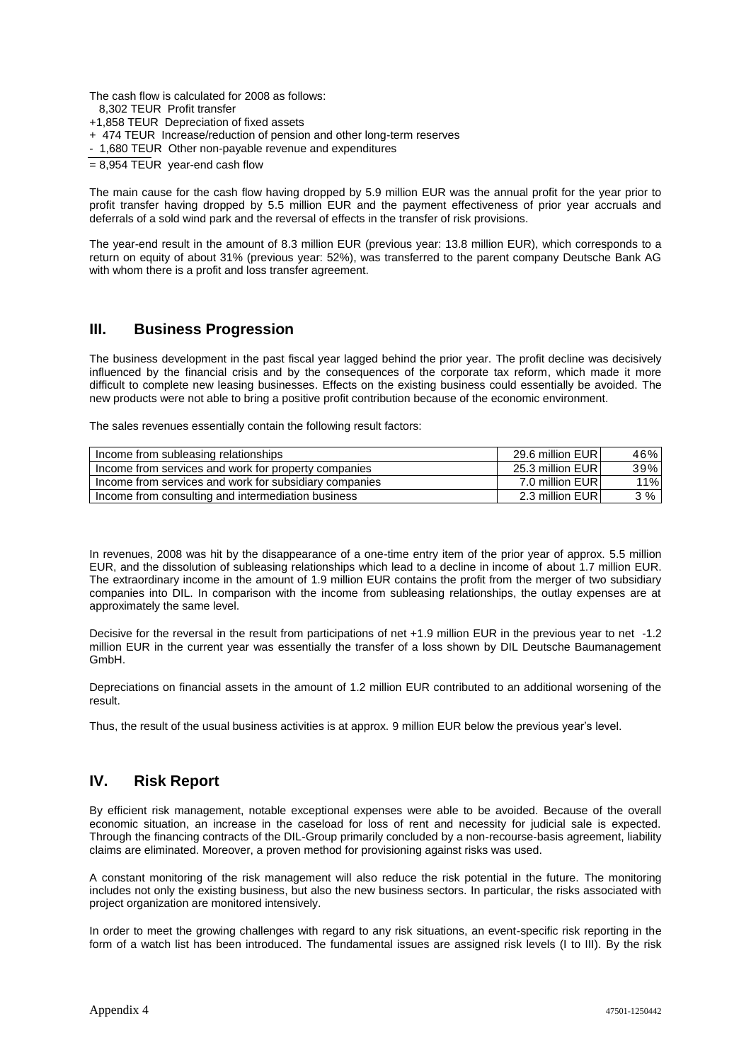The cash flow is calculated for 2008 as follows:

- 8,302 TEUR Profit transfer
- +1,858 TEUR Depreciation of fixed assets
- + 474 TEUR Increase/reduction of pension and other long-term reserves
- 1,680 TEUR Other non-payable revenue and expenditures
- $= 8.954$  TEUR vear-end cash flow

The main cause for the cash flow having dropped by 5.9 million EUR was the annual profit for the year prior to profit transfer having dropped by 5.5 million EUR and the payment effectiveness of prior year accruals and deferrals of a sold wind park and the reversal of effects in the transfer of risk provisions.

The year-end result in the amount of 8.3 million EUR (previous year: 13.8 million EUR), which corresponds to a return on equity of about 31% (previous year: 52%), was transferred to the parent company Deutsche Bank AG with whom there is a profit and loss transfer agreement.

#### **III. Business Progression**

The business development in the past fiscal year lagged behind the prior year. The profit decline was decisively influenced by the financial crisis and by the consequences of the corporate tax reform, which made it more difficult to complete new leasing businesses. Effects on the existing business could essentially be avoided. The new products were not able to bring a positive profit contribution because of the economic environment.

The sales revenues essentially contain the following result factors:

| Income from subleasing relationships                   | 29.6 million EURI | 46% |
|--------------------------------------------------------|-------------------|-----|
| Income from services and work for property companies   | 25.3 million EURI | 39% |
| Income from services and work for subsidiary companies | 7.0 million EURI  | 11% |
| Income from consulting and intermediation business     | 2.3 million EURI  | 3%  |

In revenues, 2008 was hit by the disappearance of a one-time entry item of the prior year of approx. 5.5 million EUR, and the dissolution of subleasing relationships which lead to a decline in income of about 1.7 million EUR. The extraordinary income in the amount of 1.9 million EUR contains the profit from the merger of two subsidiary companies into DIL. In comparison with the income from subleasing relationships, the outlay expenses are at approximately the same level.

Decisive for the reversal in the result from participations of net +1.9 million EUR in the previous year to net -1.2 million EUR in the current year was essentially the transfer of a loss shown by DIL Deutsche Baumanagement GmbH.

Depreciations on financial assets in the amount of 1.2 million EUR contributed to an additional worsening of the result.

Thus, the result of the usual business activities is at approx. 9 million EUR below the previous year's level.

# **IV. Risk Report**

By efficient risk management, notable exceptional expenses were able to be avoided. Because of the overall economic situation, an increase in the caseload for loss of rent and necessity for judicial sale is expected. Through the financing contracts of the DIL-Group primarily concluded by a non-recourse-basis agreement, liability claims are eliminated. Moreover, a proven method for provisioning against risks was used.

A constant monitoring of the risk management will also reduce the risk potential in the future. The monitoring includes not only the existing business, but also the new business sectors. In particular, the risks associated with project organization are monitored intensively.

In order to meet the growing challenges with regard to any risk situations, an event-specific risk reporting in the form of a watch list has been introduced. The fundamental issues are assigned risk levels (I to III). By the risk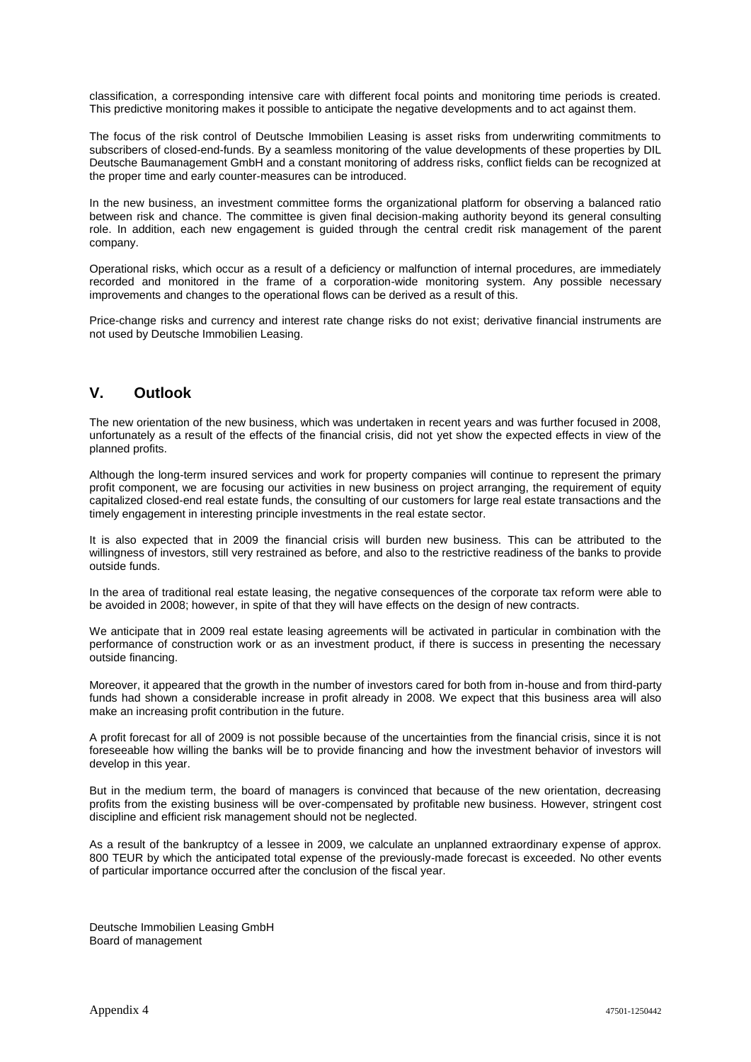classification, a corresponding intensive care with different focal points and monitoring time periods is created. This predictive monitoring makes it possible to anticipate the negative developments and to act against them.

The focus of the risk control of Deutsche Immobilien Leasing is asset risks from underwriting commitments to subscribers of closed-end-funds. By a seamless monitoring of the value developments of these properties by DIL Deutsche Baumanagement GmbH and a constant monitoring of address risks, conflict fields can be recognized at the proper time and early counter-measures can be introduced.

In the new business, an investment committee forms the organizational platform for observing a balanced ratio between risk and chance. The committee is given final decision-making authority beyond its general consulting role. In addition, each new engagement is guided through the central credit risk management of the parent company.

Operational risks, which occur as a result of a deficiency or malfunction of internal procedures, are immediately recorded and monitored in the frame of a corporation-wide monitoring system. Any possible necessary improvements and changes to the operational flows can be derived as a result of this.

Price-change risks and currency and interest rate change risks do not exist; derivative financial instruments are not used by Deutsche Immobilien Leasing.

# **V. Outlook**

The new orientation of the new business, which was undertaken in recent years and was further focused in 2008, unfortunately as a result of the effects of the financial crisis, did not yet show the expected effects in view of the planned profits.

Although the long-term insured services and work for property companies will continue to represent the primary profit component, we are focusing our activities in new business on project arranging, the requirement of equity capitalized closed-end real estate funds, the consulting of our customers for large real estate transactions and the timely engagement in interesting principle investments in the real estate sector.

It is also expected that in 2009 the financial crisis will burden new business. This can be attributed to the willingness of investors, still very restrained as before, and also to the restrictive readiness of the banks to provide outside funds.

In the area of traditional real estate leasing, the negative consequences of the corporate tax reform were able to be avoided in 2008; however, in spite of that they will have effects on the design of new contracts.

We anticipate that in 2009 real estate leasing agreements will be activated in particular in combination with the performance of construction work or as an investment product, if there is success in presenting the necessary outside financing.

Moreover, it appeared that the growth in the number of investors cared for both from in-house and from third-party funds had shown a considerable increase in profit already in 2008. We expect that this business area will also make an increasing profit contribution in the future.

A profit forecast for all of 2009 is not possible because of the uncertainties from the financial crisis, since it is not foreseeable how willing the banks will be to provide financing and how the investment behavior of investors will develop in this year.

But in the medium term, the board of managers is convinced that because of the new orientation, decreasing profits from the existing business will be over-compensated by profitable new business. However, stringent cost discipline and efficient risk management should not be neglected.

As a result of the bankruptcy of a lessee in 2009, we calculate an unplanned extraordinary expense of approx. 800 TEUR by which the anticipated total expense of the previously-made forecast is exceeded. No other events of particular importance occurred after the conclusion of the fiscal year.

Deutsche Immobilien Leasing GmbH Board of management